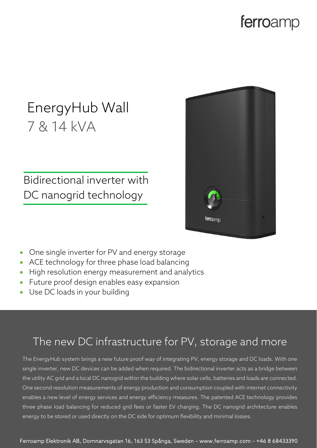### ferroamp

# EnergyHub Wall 7 & 14 kVA

Bidirectional inverter with DC nanogrid technology



- One single inverter for PV and energy storage
- ACE technology for three phase load balancing
- High resolution energy measurement and analytics
- Future proof design enables easy expansion
- Use DC loads in your building

#### The new DC infrastructure for PV, storage and more

The EnergyHub system brings a new future proof way of integrating PV, energy storage and DC loads. With one single inverter, new DC devices can be added when required. The bidirectional inverter acts as a bridge between the utility AC grid and a local DC nanogrid within the building where solar cells, batteries and loads are connected. One second resolution measurements of energy production and consumption coupled with internet connectivity enables a new level of energy services and energy efficiency measures. The patented ACE technology provides three phase load balancing for reduced grid fees or faster EV charging. The DC nanogrid architecture enables energy to be stored or used directly on the DC side for optimum flexibility and minimal losses.